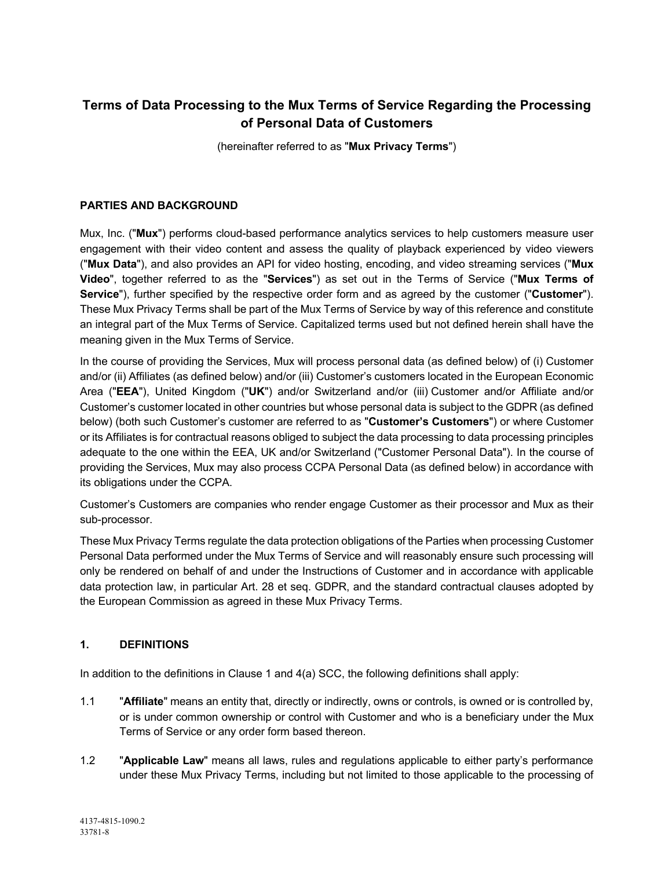# **Terms of Data Processing to the Mux Terms of Service Regarding the Processing of Personal Data of Customers**

(hereinafter referred to as "**Mux Privacy Terms**")

# **PARTIES AND BACKGROUND**

Mux, Inc. ("**Mux**") performs cloud-based performance analytics services to help customers measure user engagement with their video content and assess the quality of playback experienced by video viewers ("**Mux Data**"), and also provides an API for video hosting, encoding, and video streaming services ("**Mux Video**", together referred to as the "**Services**") as set out in the Terms of Service ("**Mux Terms of Service**"), further specified by the respective order form and as agreed by the customer ("**Customer**"). These Mux Privacy Terms shall be part of the Mux Terms of Service by way of this reference and constitute an integral part of the Mux Terms of Service. Capitalized terms used but not defined herein shall have the meaning given in the Mux Terms of Service.

In the course of providing the Services, Mux will process personal data (as defined below) of (i) Customer and/or (ii) Affiliates (as defined below) and/or (iii) Customer's customers located in the European Economic Area ("**EEA**"), United Kingdom ("**UK**") and/or Switzerland and/or (iii) Customer and/or Affiliate and/or Customer's customer located in other countries but whose personal data is subject to the GDPR (as defined below) (both such Customer's customer are referred to as "**Customer's Customers**") or where Customer or its Affiliates is for contractual reasons obliged to subject the data processing to data processing principles adequate to the one within the EEA, UK and/or Switzerland ("Customer Personal Data"). In the course of providing the Services, Mux may also process CCPA Personal Data (as defined below) in accordance with its obligations under the CCPA.

Customer's Customers are companies who render engage Customer as their processor and Mux as their sub-processor.

These Mux Privacy Terms regulate the data protection obligations of the Parties when processing Customer Personal Data performed under the Mux Terms of Service and will reasonably ensure such processing will only be rendered on behalf of and under the Instructions of Customer and in accordance with applicable data protection law, in particular Art. 28 et seq. GDPR, and the standard contractual clauses adopted by the European Commission as agreed in these Mux Privacy Terms.

## **1. DEFINITIONS**

In addition to the definitions in Clause 1 and 4(a) SCC, the following definitions shall apply:

- 1.1 "**Affiliate**" means an entity that, directly or indirectly, owns or controls, is owned or is controlled by, or is under common ownership or control with Customer and who is a beneficiary under the Mux Terms of Service or any order form based thereon.
- 1.2 "**Applicable Law**" means all laws, rules and regulations applicable to either party's performance under these Mux Privacy Terms, including but not limited to those applicable to the processing of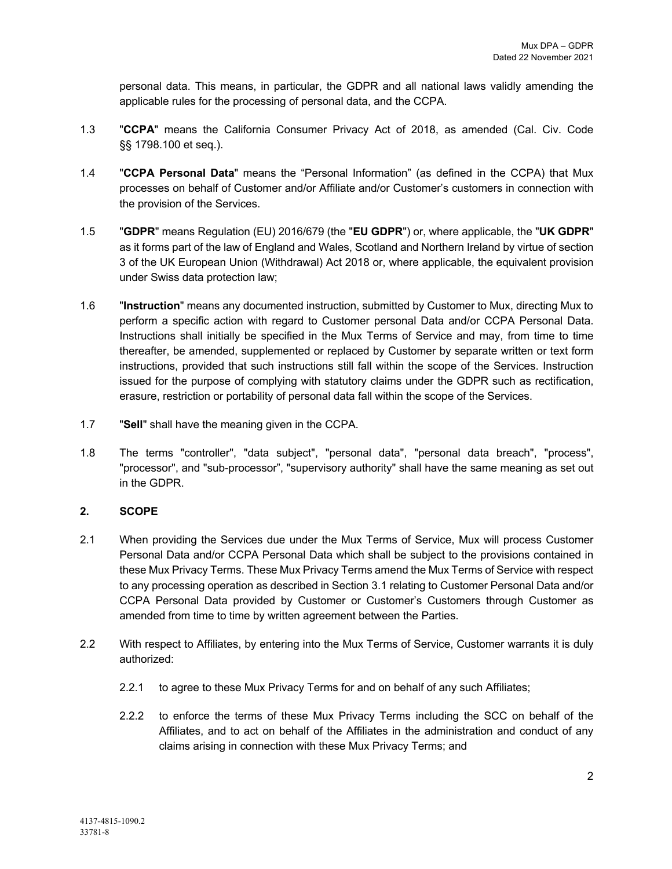personal data. This means, in particular, the GDPR and all national laws validly amending the applicable rules for the processing of personal data, and the CCPA.

- 1.3 "**CCPA**" means the California Consumer Privacy Act of 2018, as amended (Cal. Civ. Code §§ 1798.100 et seq.).
- 1.4 "**CCPA Personal Data**" means the "Personal Information" (as defined in the CCPA) that Mux processes on behalf of Customer and/or Affiliate and/or Customer's customers in connection with the provision of the Services.
- 1.5 "**GDPR**" means Regulation (EU) 2016/679 (the "**EU GDPR**") or, where applicable, the "**UK GDPR**" as it forms part of the law of England and Wales, Scotland and Northern Ireland by virtue of section 3 of the UK European Union (Withdrawal) Act 2018 or, where applicable, the equivalent provision under Swiss data protection law;
- 1.6 "**Instruction**" means any documented instruction, submitted by Customer to Mux, directing Mux to perform a specific action with regard to Customer personal Data and/or CCPA Personal Data. Instructions shall initially be specified in the Mux Terms of Service and may, from time to time thereafter, be amended, supplemented or replaced by Customer by separate written or text form instructions, provided that such instructions still fall within the scope of the Services. Instruction issued for the purpose of complying with statutory claims under the GDPR such as rectification, erasure, restriction or portability of personal data fall within the scope of the Services.
- 1.7 "**Sell**" shall have the meaning given in the CCPA.
- 1.8 The terms "controller", "data subject", "personal data", "personal data breach", "process", "processor", and "sub-processor", "supervisory authority" shall have the same meaning as set out in the GDPR.

## **2. SCOPE**

- 2.1 When providing the Services due under the Mux Terms of Service, Mux will process Customer Personal Data and/or CCPA Personal Data which shall be subject to the provisions contained in these Mux Privacy Terms. These Mux Privacy Terms amend the Mux Terms of Service with respect to any processing operation as described in Section 3.1 relating to Customer Personal Data and/or CCPA Personal Data provided by Customer or Customer's Customers through Customer as amended from time to time by written agreement between the Parties.
- 2.2 With respect to Affiliates, by entering into the Mux Terms of Service, Customer warrants it is duly authorized:
	- 2.2.1 to agree to these Mux Privacy Terms for and on behalf of any such Affiliates;
	- 2.2.2 to enforce the terms of these Mux Privacy Terms including the SCC on behalf of the Affiliates, and to act on behalf of the Affiliates in the administration and conduct of any claims arising in connection with these Mux Privacy Terms; and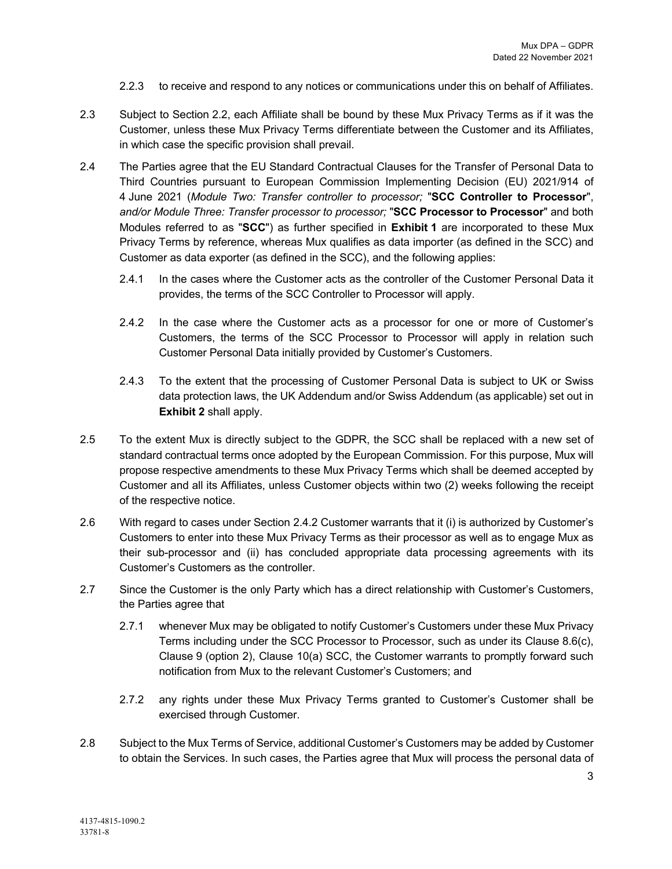- 2.2.3 to receive and respond to any notices or communications under this on behalf of Affiliates.
- 2.3 Subject to Section 2.2, each Affiliate shall be bound by these Mux Privacy Terms as if it was the Customer, unless these Mux Privacy Terms differentiate between the Customer and its Affiliates, in which case the specific provision shall prevail.
- 2.4 The Parties agree that the EU Standard Contractual Clauses for the Transfer of Personal Data to Third Countries pursuant to European Commission Implementing Decision (EU) 2021/914 of 4 June 2021 (*Module Two: Transfer controller to processor;* "**SCC Controller to Processor**", *and/or Module Three: Transfer processor to processor;* "**SCC Processor to Processor**" and both Modules referred to as "**SCC**") as further specified in **Exhibit 1** are incorporated to these Mux Privacy Terms by reference, whereas Mux qualifies as data importer (as defined in the SCC) and Customer as data exporter (as defined in the SCC), and the following applies:
	- 2.4.1 In the cases where the Customer acts as the controller of the Customer Personal Data it provides, the terms of the SCC Controller to Processor will apply.
	- 2.4.2 In the case where the Customer acts as a processor for one or more of Customer's Customers, the terms of the SCC Processor to Processor will apply in relation such Customer Personal Data initially provided by Customer's Customers.
	- 2.4.3 To the extent that the processing of Customer Personal Data is subject to UK or Swiss data protection laws, the UK Addendum and/or Swiss Addendum (as applicable) set out in **Exhibit 2** shall apply.
- 2.5 To the extent Mux is directly subject to the GDPR, the SCC shall be replaced with a new set of standard contractual terms once adopted by the European Commission. For this purpose, Mux will propose respective amendments to these Mux Privacy Terms which shall be deemed accepted by Customer and all its Affiliates, unless Customer objects within two (2) weeks following the receipt of the respective notice.
- 2.6 With regard to cases under Section 2.4.2 Customer warrants that it (i) is authorized by Customer's Customers to enter into these Mux Privacy Terms as their processor as well as to engage Mux as their sub-processor and (ii) has concluded appropriate data processing agreements with its Customer's Customers as the controller.
- 2.7 Since the Customer is the only Party which has a direct relationship with Customer's Customers, the Parties agree that
	- 2.7.1 whenever Mux may be obligated to notify Customer's Customers under these Mux Privacy Terms including under the SCC Processor to Processor, such as under its Clause 8.6(c), Clause 9 (option 2), Clause 10(a) SCC, the Customer warrants to promptly forward such notification from Mux to the relevant Customer's Customers; and
	- 2.7.2 any rights under these Mux Privacy Terms granted to Customer's Customer shall be exercised through Customer.
- 2.8 Subject to the Mux Terms of Service, additional Customer's Customers may be added by Customer to obtain the Services. In such cases, the Parties agree that Mux will process the personal data of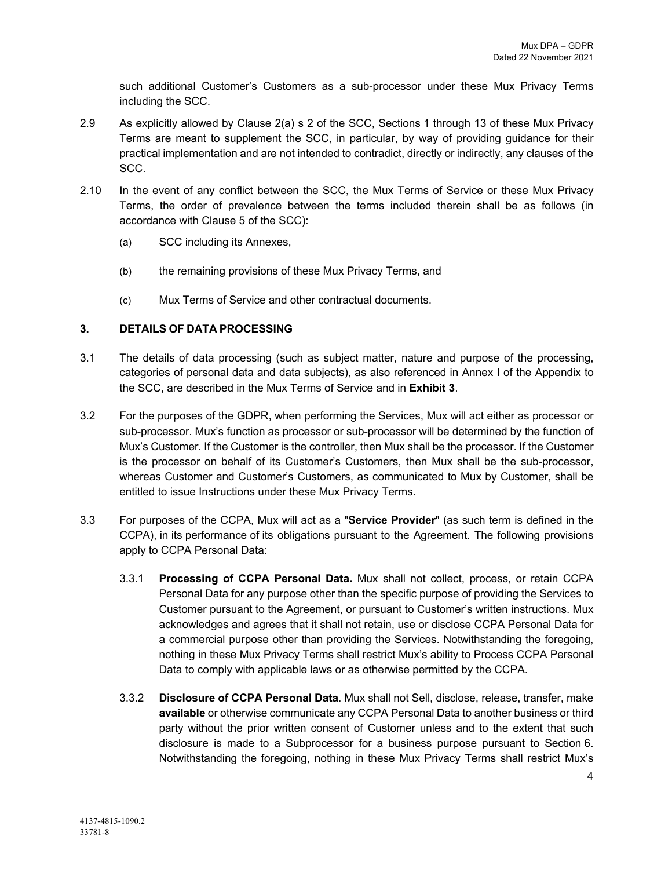such additional Customer's Customers as a sub-processor under these Mux Privacy Terms including the SCC.

- 2.9 As explicitly allowed by Clause 2(a) s 2 of the SCC, Sections 1 through 13 of these Mux Privacy Terms are meant to supplement the SCC, in particular, by way of providing guidance for their practical implementation and are not intended to contradict, directly or indirectly, any clauses of the SCC.
- 2.10 In the event of any conflict between the SCC, the Mux Terms of Service or these Mux Privacy Terms, the order of prevalence between the terms included therein shall be as follows (in accordance with Clause 5 of the SCC):
	- (a) SCC including its Annexes,
	- (b) the remaining provisions of these Mux Privacy Terms, and
	- (c) Mux Terms of Service and other contractual documents.

### **3. DETAILS OF DATA PROCESSING**

- 3.1 The details of data processing (such as subject matter, nature and purpose of the processing, categories of personal data and data subjects), as also referenced in Annex I of the Appendix to the SCC, are described in the Mux Terms of Service and in **Exhibit 3**.
- 3.2 For the purposes of the GDPR, when performing the Services, Mux will act either as processor or sub-processor. Mux's function as processor or sub-processor will be determined by the function of Mux's Customer. If the Customer is the controller, then Mux shall be the processor. If the Customer is the processor on behalf of its Customer's Customers, then Mux shall be the sub-processor, whereas Customer and Customer's Customers, as communicated to Mux by Customer, shall be entitled to issue Instructions under these Mux Privacy Terms.
- 3.3 For purposes of the CCPA, Mux will act as a "**Service Provider**" (as such term is defined in the CCPA), in its performance of its obligations pursuant to the Agreement. The following provisions apply to CCPA Personal Data:
	- 3.3.1 **Processing of CCPA Personal Data.** Mux shall not collect, process, or retain CCPA Personal Data for any purpose other than the specific purpose of providing the Services to Customer pursuant to the Agreement, or pursuant to Customer's written instructions. Mux acknowledges and agrees that it shall not retain, use or disclose CCPA Personal Data for a commercial purpose other than providing the Services. Notwithstanding the foregoing, nothing in these Mux Privacy Terms shall restrict Mux's ability to Process CCPA Personal Data to comply with applicable laws or as otherwise permitted by the CCPA.
	- 3.3.2 **Disclosure of CCPA Personal Data**. Mux shall not Sell, disclose, release, transfer, make **available** or otherwise communicate any CCPA Personal Data to another business or third party without the prior written consent of Customer unless and to the extent that such disclosure is made to a Subprocessor for a business purpose pursuant to Section 6. Notwithstanding the foregoing, nothing in these Mux Privacy Terms shall restrict Mux's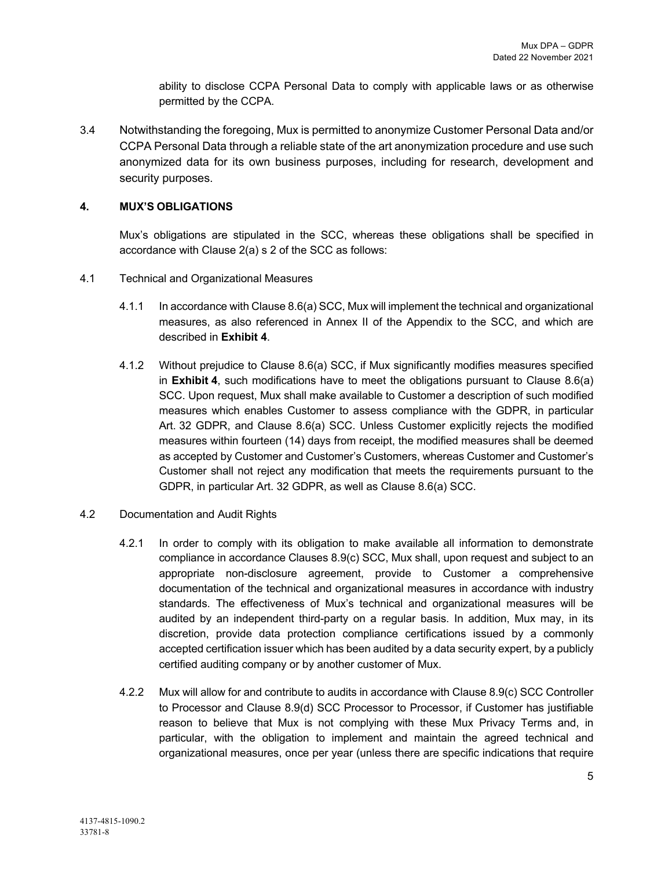ability to disclose CCPA Personal Data to comply with applicable laws or as otherwise permitted by the CCPA.

3.4 Notwithstanding the foregoing, Mux is permitted to anonymize Customer Personal Data and/or CCPA Personal Data through a reliable state of the art anonymization procedure and use such anonymized data for its own business purposes, including for research, development and security purposes.

# **4. MUX'S OBLIGATIONS**

Mux's obligations are stipulated in the SCC, whereas these obligations shall be specified in accordance with Clause 2(a) s 2 of the SCC as follows:

- 4.1 Technical and Organizational Measures
	- 4.1.1 In accordance with Clause 8.6(a) SCC, Mux will implement the technical and organizational measures, as also referenced in Annex II of the Appendix to the SCC, and which are described in **Exhibit 4**.
	- 4.1.2 Without prejudice to Clause 8.6(a) SCC, if Mux significantly modifies measures specified in **Exhibit 4**, such modifications have to meet the obligations pursuant to Clause 8.6(a) SCC. Upon request, Mux shall make available to Customer a description of such modified measures which enables Customer to assess compliance with the GDPR, in particular Art. 32 GDPR, and Clause 8.6(a) SCC. Unless Customer explicitly rejects the modified measures within fourteen (14) days from receipt, the modified measures shall be deemed as accepted by Customer and Customer's Customers, whereas Customer and Customer's Customer shall not reject any modification that meets the requirements pursuant to the GDPR, in particular Art. 32 GDPR, as well as Clause 8.6(a) SCC.
- 4.2 Documentation and Audit Rights
	- 4.2.1 In order to comply with its obligation to make available all information to demonstrate compliance in accordance Clauses 8.9(c) SCC, Mux shall, upon request and subject to an appropriate non-disclosure agreement, provide to Customer a comprehensive documentation of the technical and organizational measures in accordance with industry standards. The effectiveness of Mux's technical and organizational measures will be audited by an independent third-party on a regular basis. In addition, Mux may, in its discretion, provide data protection compliance certifications issued by a commonly accepted certification issuer which has been audited by a data security expert, by a publicly certified auditing company or by another customer of Mux.
	- 4.2.2 Mux will allow for and contribute to audits in accordance with Clause 8.9(c) SCC Controller to Processor and Clause 8.9(d) SCC Processor to Processor, if Customer has justifiable reason to believe that Mux is not complying with these Mux Privacy Terms and, in particular, with the obligation to implement and maintain the agreed technical and organizational measures, once per year (unless there are specific indications that require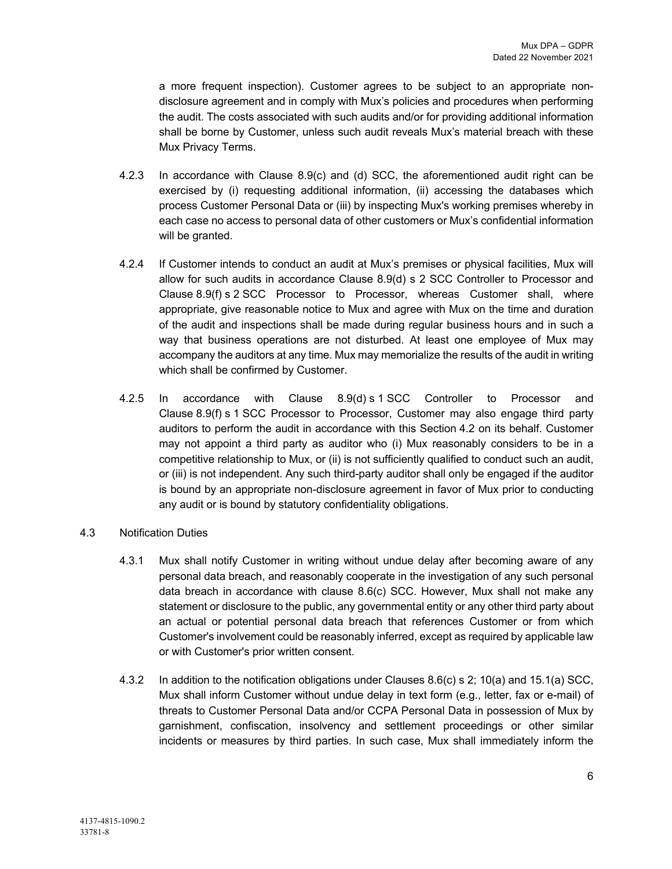a more frequent inspection). Customer agrees to be subject to an appropriate nondisclosure agreement and in comply with Mux's policies and procedures when performing the audit. The costs associated with such audits and/or for providing additional information shall be borne by Customer, unless such audit reveals Mux's material breach with these Mux Privacy Terms.

- 4.2.3 In accordance with Clause 8.9(c) and (d) SCC, the aforementioned audit right can be exercised by (i) requesting additional information, (ii) accessing the databases which process Customer Personal Data or (iii) by inspecting Mux's working premises whereby in each case no access to personal data of other customers or Mux's confidential information will be granted.
- 4.2.4 If Customer intends to conduct an audit at Mux's premises or physical facilities, Mux will allow for such audits in accordance Clause 8.9(d) s 2 SCC Controller to Processor and Clause 8.9(f) s 2 SCC Processor to Processor, whereas Customer shall, where appropriate, give reasonable notice to Mux and agree with Mux on the time and duration of the audit and inspections shall be made during regular business hours and in such a way that business operations are not disturbed. At least one employee of Mux may accompany the auditors at any time. Mux may memorialize the results of the audit in writing which shall be confirmed by Customer.
- 4.2.5 In accordance with Clause 8.9(d) s 1 SCC Controller to Processor and Clause 8.9(f) s 1 SCC Processor to Processor, Customer may also engage third party auditors to perform the audit in accordance with this Section 4.2 on its behalf. Customer may not appoint a third party as auditor who (i) Mux reasonably considers to be in a competitive relationship to Mux, or (ii) is not sufficiently qualified to conduct such an audit, or (iii) is not independent. Any such third-party auditor shall only be engaged if the auditor is bound by an appropriate non-disclosure agreement in favor of Mux prior to conducting any audit or is bound by statutory confidentiality obligations.

#### 4.3 Notification Duties

- 4.3.1 Mux shall notify Customer in writing without undue delay after becoming aware of any personal data breach, and reasonably cooperate in the investigation of any such personal data breach in accordance with clause 8.6(c) SCC. However, Mux shall not make any statement or disclosure to the public, any governmental entity or any other third party about an actual or potential personal data breach that references Customer or from which Customer's involvement could be reasonably inferred, except as required by applicable law or with Customer's prior written consent.
- 4.3.2 In addition to the notification obligations under Clauses 8.6(c) s 2; 10(a) and 15.1(a) SCC, Mux shall inform Customer without undue delay in text form (e.g., letter, fax or e-mail) of threats to Customer Personal Data and/or CCPA Personal Data in possession of Mux by garnishment, confiscation, insolvency and settlement proceedings or other similar incidents or measures by third parties. In such case, Mux shall immediately inform the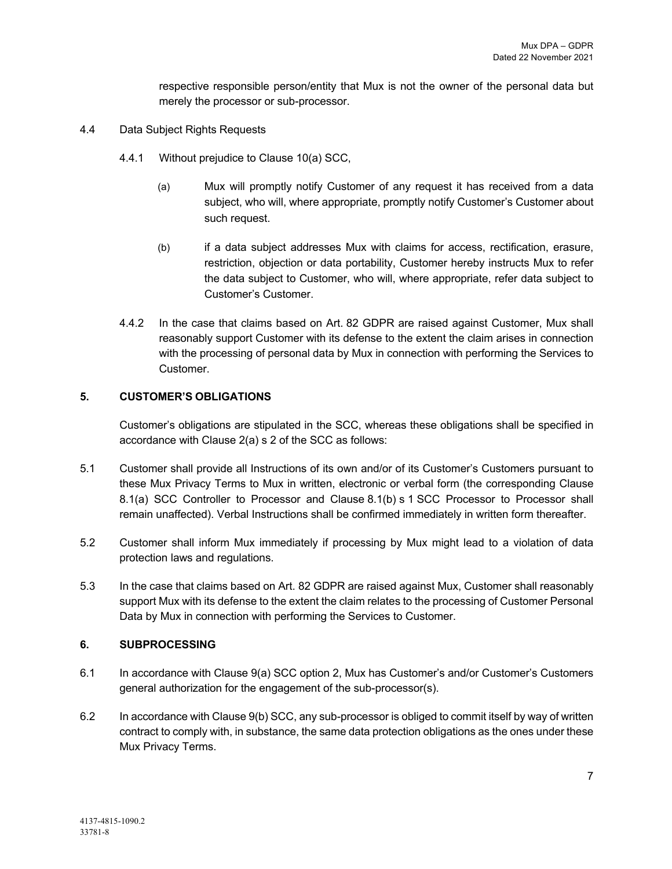respective responsible person/entity that Mux is not the owner of the personal data but merely the processor or sub-processor.

- 4.4 Data Subject Rights Requests
	- 4.4.1 Without prejudice to Clause 10(a) SCC,
		- (a) Mux will promptly notify Customer of any request it has received from a data subject, who will, where appropriate, promptly notify Customer's Customer about such request.
		- (b) if a data subject addresses Mux with claims for access, rectification, erasure, restriction, objection or data portability, Customer hereby instructs Mux to refer the data subject to Customer, who will, where appropriate, refer data subject to Customer's Customer.
	- 4.4.2 In the case that claims based on Art. 82 GDPR are raised against Customer, Mux shall reasonably support Customer with its defense to the extent the claim arises in connection with the processing of personal data by Mux in connection with performing the Services to Customer.

#### **5. CUSTOMER'S OBLIGATIONS**

Customer's obligations are stipulated in the SCC, whereas these obligations shall be specified in accordance with Clause 2(a) s 2 of the SCC as follows:

- 5.1 Customer shall provide all Instructions of its own and/or of its Customer's Customers pursuant to these Mux Privacy Terms to Mux in written, electronic or verbal form (the corresponding Clause 8.1(a) SCC Controller to Processor and Clause 8.1(b) s 1 SCC Processor to Processor shall remain unaffected). Verbal Instructions shall be confirmed immediately in written form thereafter.
- 5.2 Customer shall inform Mux immediately if processing by Mux might lead to a violation of data protection laws and regulations.
- 5.3 In the case that claims based on Art. 82 GDPR are raised against Mux, Customer shall reasonably support Mux with its defense to the extent the claim relates to the processing of Customer Personal Data by Mux in connection with performing the Services to Customer.

## **6. SUBPROCESSING**

- 6.1 In accordance with Clause 9(a) SCC option 2, Mux has Customer's and/or Customer's Customers general authorization for the engagement of the sub-processor(s).
- 6.2 In accordance with Clause 9(b) SCC, any sub-processor is obliged to commit itself by way of written contract to comply with, in substance, the same data protection obligations as the ones under these Mux Privacy Terms.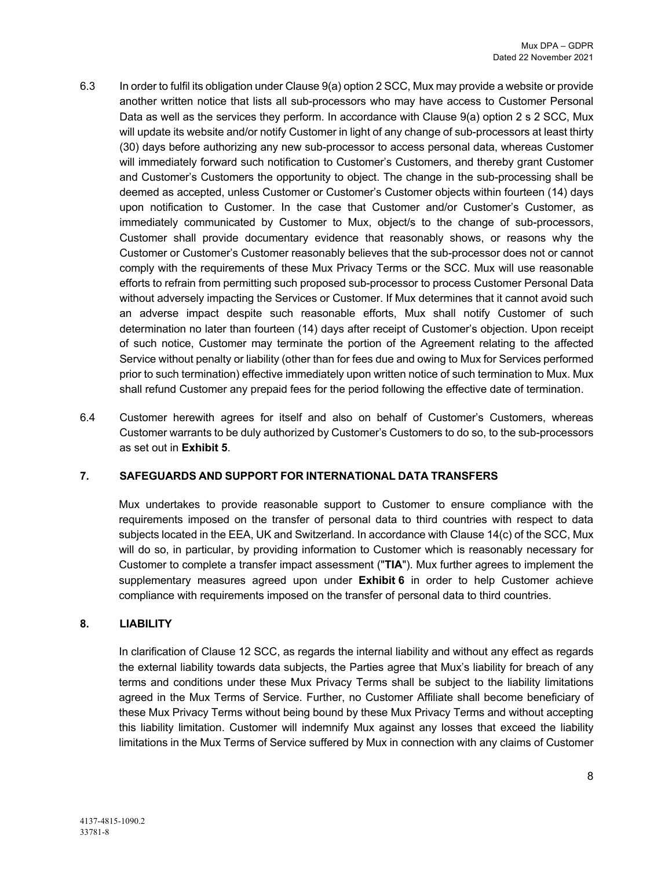- 6.3 In order to fulfil its obligation under Clause 9(a) option 2 SCC, Mux may provide a website or provide another written notice that lists all sub-processors who may have access to Customer Personal Data as well as the services they perform. In accordance with Clause 9(a) option 2 s 2 SCC, Mux will update its website and/or notify Customer in light of any change of sub-processors at least thirty (30) days before authorizing any new sub-processor to access personal data, whereas Customer will immediately forward such notification to Customer's Customers, and thereby grant Customer and Customer's Customers the opportunity to object. The change in the sub-processing shall be deemed as accepted, unless Customer or Customer's Customer objects within fourteen (14) days upon notification to Customer. In the case that Customer and/or Customer's Customer, as immediately communicated by Customer to Mux, object/s to the change of sub-processors, Customer shall provide documentary evidence that reasonably shows, or reasons why the Customer or Customer's Customer reasonably believes that the sub-processor does not or cannot comply with the requirements of these Mux Privacy Terms or the SCC. Mux will use reasonable efforts to refrain from permitting such proposed sub-processor to process Customer Personal Data without adversely impacting the Services or Customer. If Mux determines that it cannot avoid such an adverse impact despite such reasonable efforts, Mux shall notify Customer of such determination no later than fourteen (14) days after receipt of Customer's objection. Upon receipt of such notice, Customer may terminate the portion of the Agreement relating to the affected Service without penalty or liability (other than for fees due and owing to Mux for Services performed prior to such termination) effective immediately upon written notice of such termination to Mux. Mux shall refund Customer any prepaid fees for the period following the effective date of termination.
- 6.4 Customer herewith agrees for itself and also on behalf of Customer's Customers, whereas Customer warrants to be duly authorized by Customer's Customers to do so, to the sub-processors as set out in **Exhibit 5**.

# **7. SAFEGUARDS AND SUPPORT FOR INTERNATIONAL DATA TRANSFERS**

Mux undertakes to provide reasonable support to Customer to ensure compliance with the requirements imposed on the transfer of personal data to third countries with respect to data subjects located in the EEA, UK and Switzerland. In accordance with Clause 14(c) of the SCC, Mux will do so, in particular, by providing information to Customer which is reasonably necessary for Customer to complete a transfer impact assessment ("**TIA**"). Mux further agrees to implement the supplementary measures agreed upon under **Exhibit 6** in order to help Customer achieve compliance with requirements imposed on the transfer of personal data to third countries.

## **8. LIABILITY**

In clarification of Clause 12 SCC, as regards the internal liability and without any effect as regards the external liability towards data subjects, the Parties agree that Mux's liability for breach of any terms and conditions under these Mux Privacy Terms shall be subject to the liability limitations agreed in the Mux Terms of Service. Further, no Customer Affiliate shall become beneficiary of these Mux Privacy Terms without being bound by these Mux Privacy Terms and without accepting this liability limitation. Customer will indemnify Mux against any losses that exceed the liability limitations in the Mux Terms of Service suffered by Mux in connection with any claims of Customer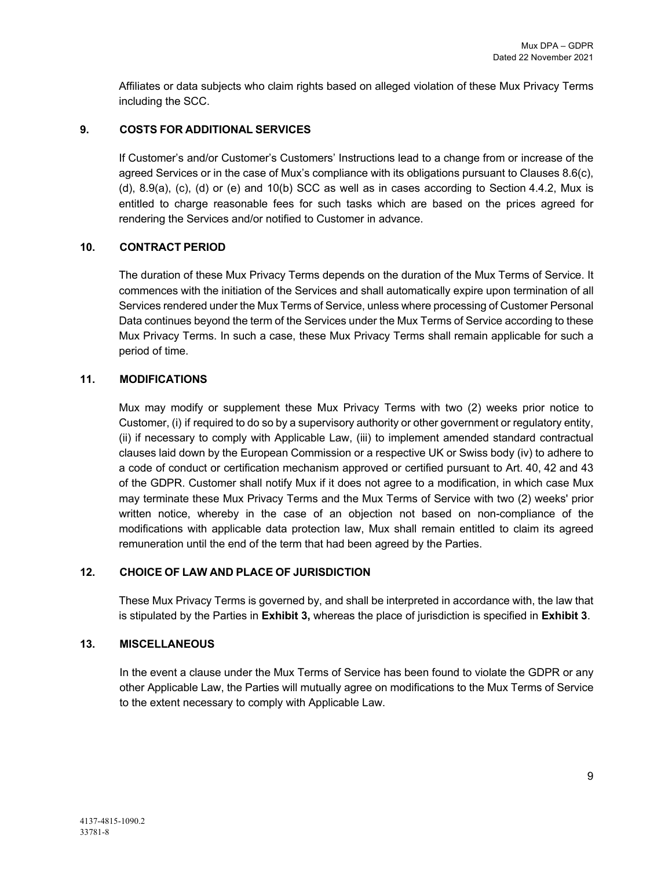Affiliates or data subjects who claim rights based on alleged violation of these Mux Privacy Terms including the SCC.

# **9. COSTS FOR ADDITIONAL SERVICES**

If Customer's and/or Customer's Customers' Instructions lead to a change from or increase of the agreed Services or in the case of Mux's compliance with its obligations pursuant to Clauses 8.6(c), (d), 8.9(a), (c), (d) or (e) and 10(b) SCC as well as in cases according to Section 4.4.2, Mux is entitled to charge reasonable fees for such tasks which are based on the prices agreed for rendering the Services and/or notified to Customer in advance.

# **10. CONTRACT PERIOD**

The duration of these Mux Privacy Terms depends on the duration of the Mux Terms of Service. It commences with the initiation of the Services and shall automatically expire upon termination of all Services rendered under the Mux Terms of Service, unless where processing of Customer Personal Data continues beyond the term of the Services under the Mux Terms of Service according to these Mux Privacy Terms. In such a case, these Mux Privacy Terms shall remain applicable for such a period of time.

## **11. MODIFICATIONS**

Mux may modify or supplement these Mux Privacy Terms with two (2) weeks prior notice to Customer, (i) if required to do so by a supervisory authority or other government or regulatory entity, (ii) if necessary to comply with Applicable Law, (iii) to implement amended standard contractual clauses laid down by the European Commission or a respective UK or Swiss body (iv) to adhere to a code of conduct or certification mechanism approved or certified pursuant to Art. 40, 42 and 43 of the GDPR. Customer shall notify Mux if it does not agree to a modification, in which case Mux may terminate these Mux Privacy Terms and the Mux Terms of Service with two (2) weeks' prior written notice, whereby in the case of an objection not based on non-compliance of the modifications with applicable data protection law, Mux shall remain entitled to claim its agreed remuneration until the end of the term that had been agreed by the Parties.

## **12. CHOICE OF LAW AND PLACE OF JURISDICTION**

These Mux Privacy Terms is governed by, and shall be interpreted in accordance with, the law that is stipulated by the Parties in **Exhibit 3,** whereas the place of jurisdiction is specified in **Exhibit 3**.

## **13. MISCELLANEOUS**

In the event a clause under the Mux Terms of Service has been found to violate the GDPR or any other Applicable Law, the Parties will mutually agree on modifications to the Mux Terms of Service to the extent necessary to comply with Applicable Law.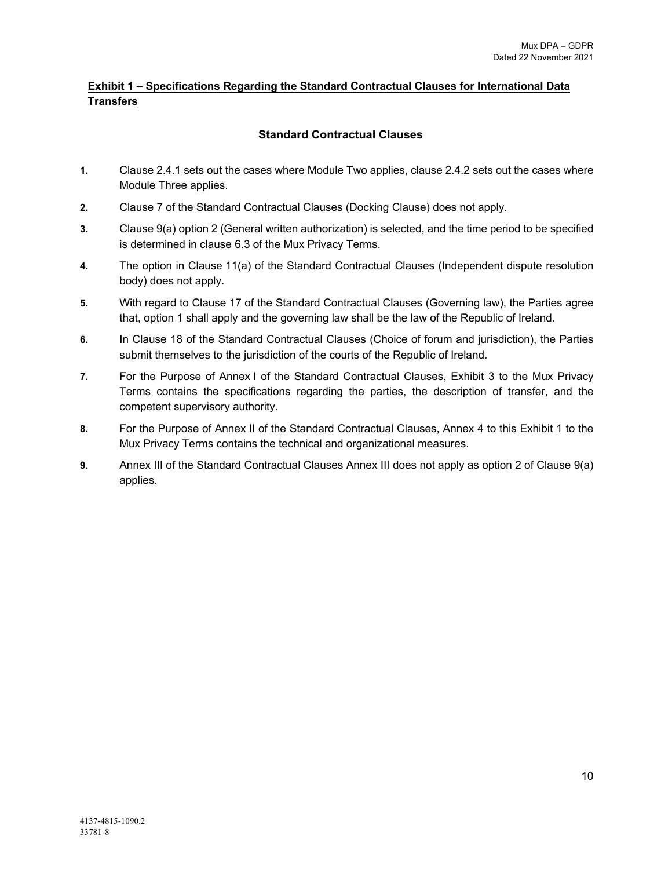# **Exhibit 1 – Specifications Regarding the Standard Contractual Clauses for International Data Transfers**

# **Standard Contractual Clauses**

- **1.** Clause 2.4.1 sets out the cases where Module Two applies, clause 2.4.2 sets out the cases where Module Three applies.
- **2.** Clause 7 of the Standard Contractual Clauses (Docking Clause) does not apply.
- **3.** Clause 9(a) option 2 (General written authorization) is selected, and the time period to be specified is determined in clause 6.3 of the Mux Privacy Terms.
- **4.** The option in Clause 11(a) of the Standard Contractual Clauses (Independent dispute resolution body) does not apply.
- **5.** With regard to Clause 17 of the Standard Contractual Clauses (Governing law), the Parties agree that, option 1 shall apply and the governing law shall be the law of the Republic of Ireland.
- **6.** In Clause 18 of the Standard Contractual Clauses (Choice of forum and jurisdiction), the Parties submit themselves to the jurisdiction of the courts of the Republic of Ireland.
- **7.** For the Purpose of Annex I of the Standard Contractual Clauses, Exhibit 3 to the Mux Privacy Terms contains the specifications regarding the parties, the description of transfer, and the competent supervisory authority.
- **8.** For the Purpose of Annex II of the Standard Contractual Clauses, Annex 4 to this Exhibit 1 to the Mux Privacy Terms contains the technical and organizational measures.
- **9.** Annex III of the Standard Contractual Clauses Annex III does not apply as option 2 of Clause 9(a) applies.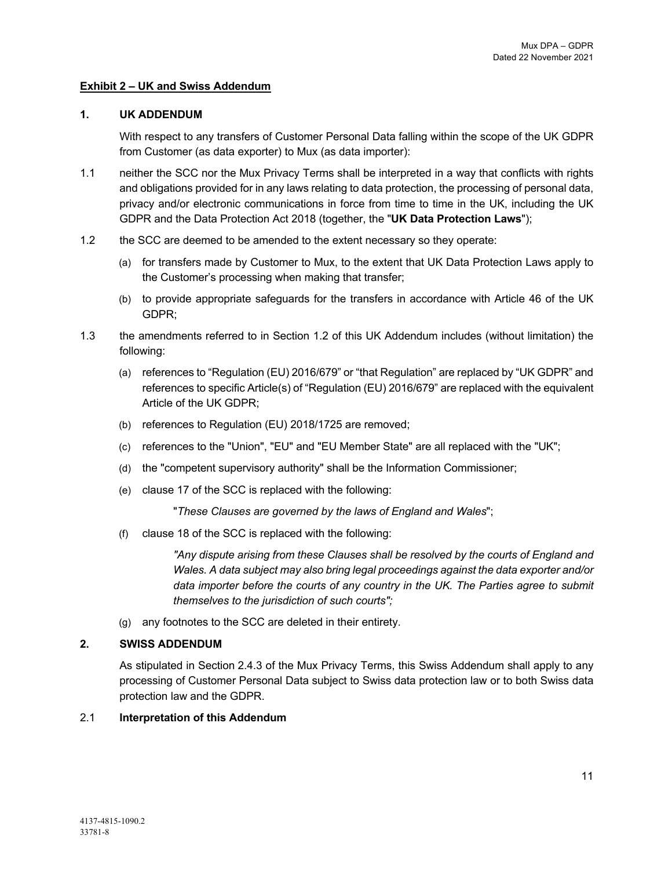#### **Exhibit 2 – UK and Swiss Addendum**

#### **1. UK ADDENDUM**

With respect to any transfers of Customer Personal Data falling within the scope of the UK GDPR from Customer (as data exporter) to Mux (as data importer):

- 1.1 neither the SCC nor the Mux Privacy Terms shall be interpreted in a way that conflicts with rights and obligations provided for in any laws relating to data protection, the processing of personal data, privacy and/or electronic communications in force from time to time in the UK, including the UK GDPR and the Data Protection Act 2018 (together, the "**UK Data Protection Laws**");
- 1.2 the SCC are deemed to be amended to the extent necessary so they operate:
	- (a) for transfers made by Customer to Mux, to the extent that UK Data Protection Laws apply to the Customer's processing when making that transfer;
	- (b) to provide appropriate safeguards for the transfers in accordance with Article 46 of the UK GDPR;
- 1.3 the amendments referred to in Section 1.2 of this UK Addendum includes (without limitation) the following:
	- (a) references to "Regulation (EU) 2016/679" or "that Regulation" are replaced by "UK GDPR" and references to specific Article(s) of "Regulation (EU) 2016/679" are replaced with the equivalent Article of the UK GDPR;
	- (b) references to Regulation (EU) 2018/1725 are removed;
	- (c) references to the "Union", "EU" and "EU Member State" are all replaced with the "UK";
	- (d) the "competent supervisory authority" shall be the Information Commissioner;
	- (e) clause 17 of the SCC is replaced with the following:

"*These Clauses are governed by the laws of England and Wales*";

(f) clause 18 of the SCC is replaced with the following:

*"Any dispute arising from these Clauses shall be resolved by the courts of England and Wales. A data subject may also bring legal proceedings against the data exporter and/or data importer before the courts of any country in the UK. The Parties agree to submit themselves to the jurisdiction of such courts";*

(g) any footnotes to the SCC are deleted in their entirety.

## **2. SWISS ADDENDUM**

As stipulated in Section 2.4.3 of the Mux Privacy Terms, this Swiss Addendum shall apply to any processing of Customer Personal Data subject to Swiss data protection law or to both Swiss data protection law and the GDPR.

#### 2.1 **Interpretation of this Addendum**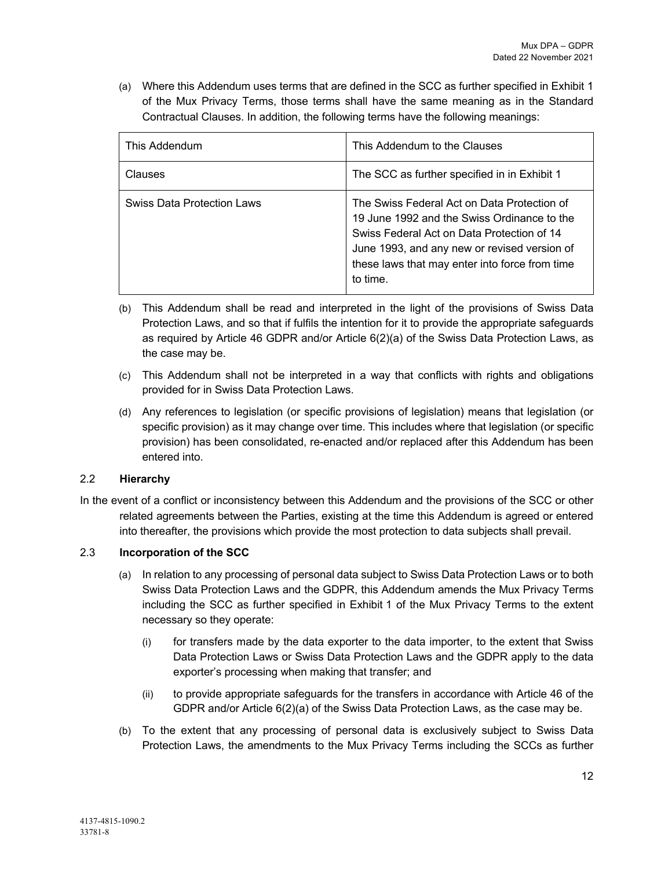(a) Where this Addendum uses terms that are defined in the SCC as further specified in Exhibit 1 of the Mux Privacy Terms, those terms shall have the same meaning as in the Standard Contractual Clauses. In addition, the following terms have the following meanings:

| This Addendum              | This Addendum to the Clauses                                                                                                                                                                                                                           |  |
|----------------------------|--------------------------------------------------------------------------------------------------------------------------------------------------------------------------------------------------------------------------------------------------------|--|
| Clauses                    | The SCC as further specified in in Exhibit 1                                                                                                                                                                                                           |  |
| Swiss Data Protection Laws | The Swiss Federal Act on Data Protection of<br>19 June 1992 and the Swiss Ordinance to the<br>Swiss Federal Act on Data Protection of 14<br>June 1993, and any new or revised version of<br>these laws that may enter into force from time<br>to time. |  |

- (b) This Addendum shall be read and interpreted in the light of the provisions of Swiss Data Protection Laws, and so that if fulfils the intention for it to provide the appropriate safeguards as required by Article 46 GDPR and/or Article 6(2)(a) of the Swiss Data Protection Laws, as the case may be.
- (c) This Addendum shall not be interpreted in a way that conflicts with rights and obligations provided for in Swiss Data Protection Laws.
- (d) Any references to legislation (or specific provisions of legislation) means that legislation (or specific provision) as it may change over time. This includes where that legislation (or specific provision) has been consolidated, re-enacted and/or replaced after this Addendum has been entered into.

## 2.2 **Hierarchy**

In the event of a conflict or inconsistency between this Addendum and the provisions of the SCC or other related agreements between the Parties, existing at the time this Addendum is agreed or entered into thereafter, the provisions which provide the most protection to data subjects shall prevail.

# 2.3 **Incorporation of the SCC**

- (a) In relation to any processing of personal data subject to Swiss Data Protection Laws or to both Swiss Data Protection Laws and the GDPR, this Addendum amends the Mux Privacy Terms including the SCC as further specified in Exhibit 1 of the Mux Privacy Terms to the extent necessary so they operate:
	- (i) for transfers made by the data exporter to the data importer, to the extent that Swiss Data Protection Laws or Swiss Data Protection Laws and the GDPR apply to the data exporter's processing when making that transfer; and
	- (ii) to provide appropriate safeguards for the transfers in accordance with Article 46 of the GDPR and/or Article 6(2)(a) of the Swiss Data Protection Laws, as the case may be.
- (b) To the extent that any processing of personal data is exclusively subject to Swiss Data Protection Laws, the amendments to the Mux Privacy Terms including the SCCs as further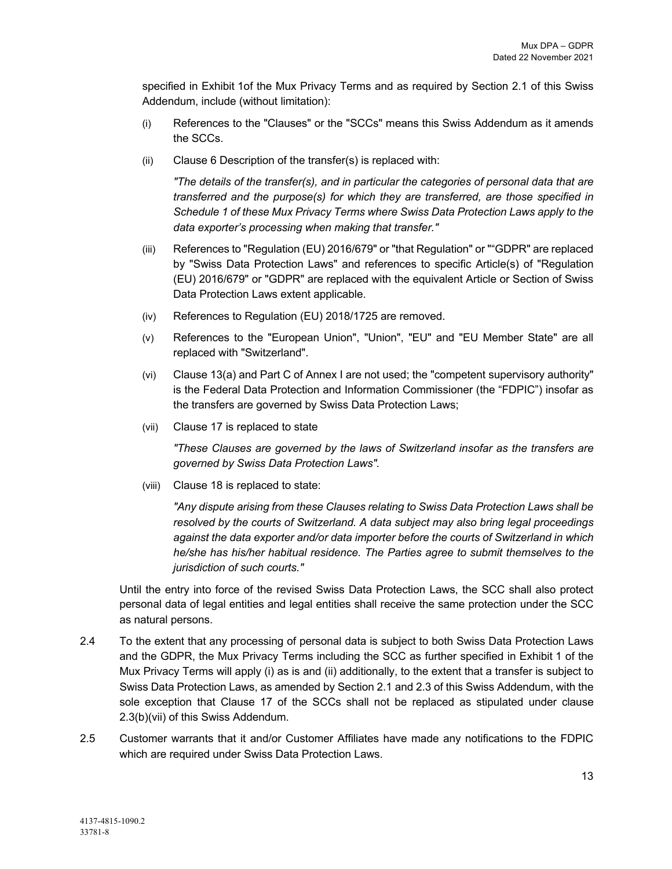specified in Exhibit 1of the Mux Privacy Terms and as required by Section 2.1 of this Swiss Addendum, include (without limitation):

- (i) References to the "Clauses" or the "SCCs" means this Swiss Addendum as it amends the SCCs.
- (ii) Clause 6 Description of the transfer(s) is replaced with:

*"The details of the transfer(s), and in particular the categories of personal data that are transferred and the purpose(s) for which they are transferred, are those specified in Schedule 1 of these Mux Privacy Terms where Swiss Data Protection Laws apply to the data exporter's processing when making that transfer."*

- (iii) References to "Regulation (EU) 2016/679" or "that Regulation" or ""GDPR" are replaced by "Swiss Data Protection Laws" and references to specific Article(s) of "Regulation (EU) 2016/679" or "GDPR" are replaced with the equivalent Article or Section of Swiss Data Protection Laws extent applicable.
- (iv) References to Regulation (EU) 2018/1725 are removed.
- (v) References to the "European Union", "Union", "EU" and "EU Member State" are all replaced with "Switzerland".
- (vi) Clause 13(a) and Part C of Annex I are not used; the "competent supervisory authority" is the Federal Data Protection and Information Commissioner (the "FDPIC") insofar as the transfers are governed by Swiss Data Protection Laws;
- (vii) Clause 17 is replaced to state

*"These Clauses are governed by the laws of Switzerland insofar as the transfers are governed by Swiss Data Protection Laws".*

(viii) Clause 18 is replaced to state:

*"Any dispute arising from these Clauses relating to Swiss Data Protection Laws shall be resolved by the courts of Switzerland. A data subject may also bring legal proceedings against the data exporter and/or data importer before the courts of Switzerland in which he/she has his/her habitual residence. The Parties agree to submit themselves to the jurisdiction of such courts."*

Until the entry into force of the revised Swiss Data Protection Laws, the SCC shall also protect personal data of legal entities and legal entities shall receive the same protection under the SCC as natural persons.

- 2.4 To the extent that any processing of personal data is subject to both Swiss Data Protection Laws and the GDPR, the Mux Privacy Terms including the SCC as further specified in Exhibit 1 of the Mux Privacy Terms will apply (i) as is and (ii) additionally, to the extent that a transfer is subject to Swiss Data Protection Laws, as amended by Section 2.1 and 2.3 of this Swiss Addendum, with the sole exception that Clause 17 of the SCCs shall not be replaced as stipulated under clause 2.3(b)(vii) of this Swiss Addendum.
- 2.5 Customer warrants that it and/or Customer Affiliates have made any notifications to the FDPIC which are required under Swiss Data Protection Laws.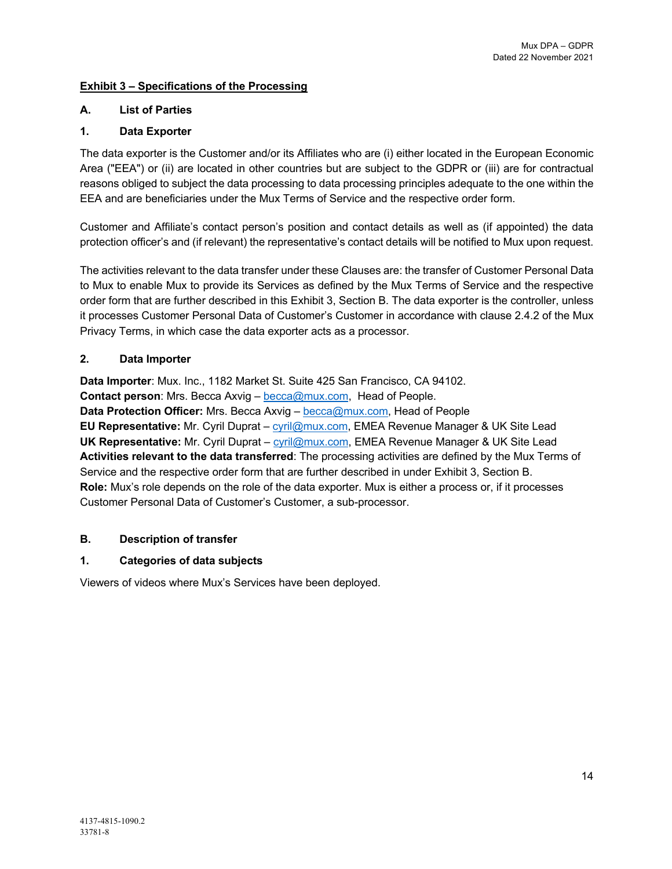# **Exhibit 3 – Specifications of the Processing**

# **A. List of Parties**

# **1. Data Exporter**

The data exporter is the Customer and/or its Affiliates who are (i) either located in the European Economic Area ("EEA") or (ii) are located in other countries but are subject to the GDPR or (iii) are for contractual reasons obliged to subject the data processing to data processing principles adequate to the one within the EEA and are beneficiaries under the Mux Terms of Service and the respective order form.

Customer and Affiliate's contact person's position and contact details as well as (if appointed) the data protection officer's and (if relevant) the representative's contact details will be notified to Mux upon request.

The activities relevant to the data transfer under these Clauses are: the transfer of Customer Personal Data to Mux to enable Mux to provide its Services as defined by the Mux Terms of Service and the respective order form that are further described in this Exhibit 3, Section B. The data exporter is the controller, unless it processes Customer Personal Data of Customer's Customer in accordance with clause 2.4.2 of the Mux Privacy Terms, in which case the data exporter acts as a processor.

# **2. Data Importer**

**Data Importer**: Mux. Inc., 1182 Market St. Suite 425 San Francisco, CA 94102. **Contact person:** Mrs. Becca Axvig – becca@mux.com, Head of People. **Data Protection Officer:** Mrs. Becca Axvig – becca@mux.com, Head of People **EU Representative:** Mr. Cyril Duprat – cyril@mux.com, EMEA Revenue Manager & UK Site Lead **UK Representative:** Mr. Cyril Duprat – cyril@mux.com, EMEA Revenue Manager & UK Site Lead **Activities relevant to the data transferred**: The processing activities are defined by the Mux Terms of Service and the respective order form that are further described in under Exhibit 3, Section B. **Role:** Mux's role depends on the role of the data exporter. Mux is either a process or, if it processes Customer Personal Data of Customer's Customer, a sub-processor.

## **B. Description of transfer**

# **1. Categories of data subjects**

Viewers of videos where Mux's Services have been deployed.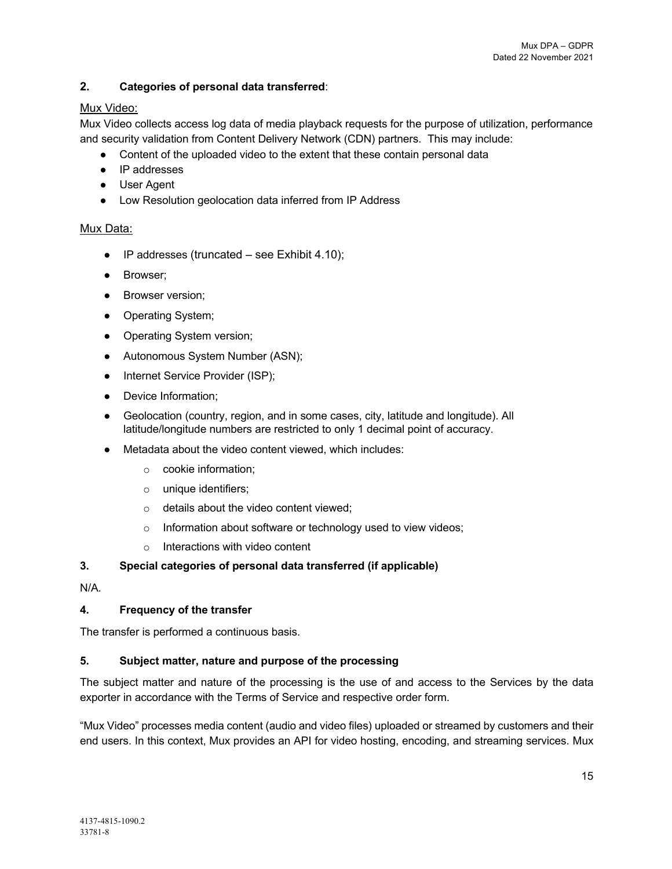# **2. Categories of personal data transferred**:

# Mux Video:

Mux Video collects access log data of media playback requests for the purpose of utilization, performance and security validation from Content Delivery Network (CDN) partners. This may include:

- Content of the uploaded video to the extent that these contain personal data
- IP addresses
- User Agent
- Low Resolution geolocation data inferred from IP Address

## Mux Data:

- $\bullet$  IP addresses (truncated see Exhibit 4.10);
- Browser;
- Browser version;
- Operating System;
- Operating System version;
- Autonomous System Number (ASN);
- Internet Service Provider (ISP);
- Device Information;
- Geolocation (country, region, and in some cases, city, latitude and longitude). All latitude/longitude numbers are restricted to only 1 decimal point of accuracy.
- Metadata about the video content viewed, which includes:
	- o cookie information;
	- o unique identifiers;
	- o details about the video content viewed;
	- o Information about software or technology used to view videos;
	- o Interactions with video content

## **3. Special categories of personal data transferred (if applicable)**

N/A.

# **4. Frequency of the transfer**

The transfer is performed a continuous basis.

## **5. Subject matter, nature and purpose of the processing**

The subject matter and nature of the processing is the use of and access to the Services by the data exporter in accordance with the Terms of Service and respective order form.

"Mux Video" processes media content (audio and video files) uploaded or streamed by customers and their end users. In this context, Mux provides an API for video hosting, encoding, and streaming services. Mux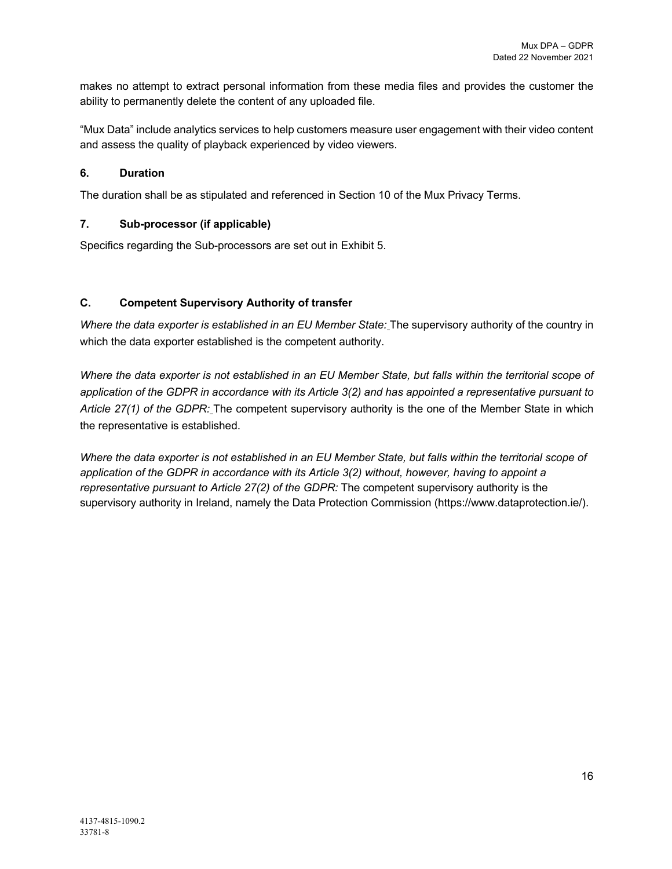makes no attempt to extract personal information from these media files and provides the customer the ability to permanently delete the content of any uploaded file.

"Mux Data" include analytics services to help customers measure user engagement with their video content and assess the quality of playback experienced by video viewers.

## **6. Duration**

The duration shall be as stipulated and referenced in Section 10 of the Mux Privacy Terms.

#### **7. Sub-processor (if applicable)**

Specifics regarding the Sub-processors are set out in Exhibit 5.

#### **C. Competent Supervisory Authority of transfer**

*Where the data exporter is established in an EU Member State:* The supervisory authority of the country in which the data exporter established is the competent authority.

*Where the data exporter is not established in an EU Member State, but falls within the territorial scope of application of the GDPR in accordance with its Article 3(2) and has appointed a representative pursuant to Article 27(1) of the GDPR:* The competent supervisory authority is the one of the Member State in which the representative is established.

*Where the data exporter is not established in an EU Member State, but falls within the territorial scope of application of the GDPR in accordance with its Article 3(2) without, however, having to appoint a representative pursuant to Article 27(2) of the GDPR:* The competent supervisory authority is the supervisory authority in Ireland, namely the Data Protection Commission (https://www.dataprotection.ie/).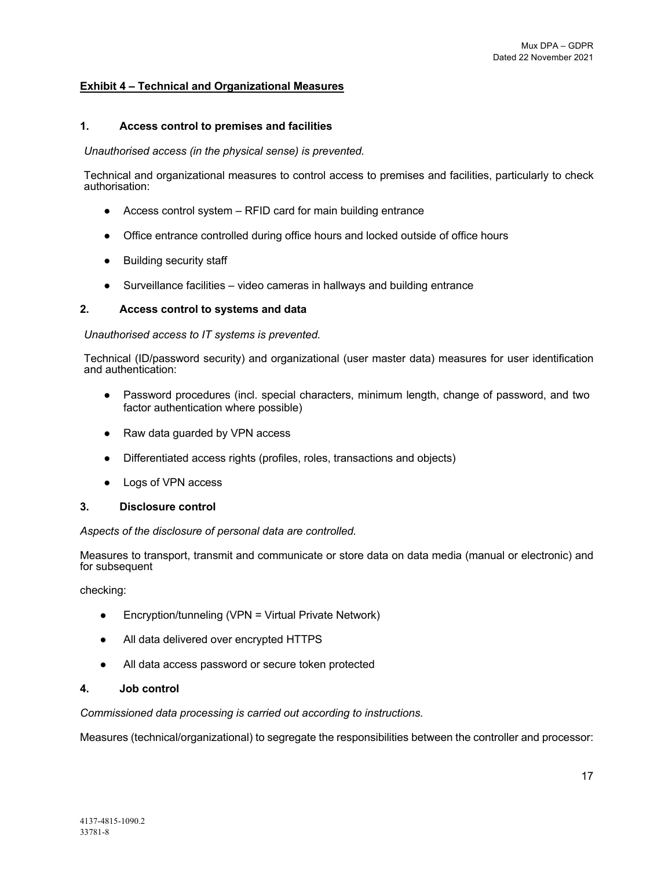#### **Exhibit 4 – Technical and Organizational Measures**

#### **1. Access control to premises and facilities**

#### *Unauthorised access (in the physical sense) is prevented.*

Technical and organizational measures to control access to premises and facilities, particularly to check authorisation:

- Access control system RFID card for main building entrance
- Office entrance controlled during office hours and locked outside of office hours
- Building security staff
- Surveillance facilities video cameras in hallways and building entrance

#### **2. Access control to systems and data**

#### *Unauthorised access to IT systems is prevented.*

Technical (ID/password security) and organizational (user master data) measures for user identification and authentication:

- Password procedures (incl. special characters, minimum length, change of password, and two factor authentication where possible)
- Raw data guarded by VPN access
- Differentiated access rights (profiles, roles, transactions and objects)
- Logs of VPN access

#### **3. Disclosure control**

#### *Aspects of the disclosure of personal data are controlled.*

Measures to transport, transmit and communicate or store data on data media (manual or electronic) and for subsequent

checking:

- Encryption/tunneling (VPN = Virtual Private Network)
- All data delivered over encrypted HTTPS
- All data access password or secure token protected

#### **4. Job control**

*Commissioned data processing is carried out according to instructions.*

Measures (technical/organizational) to segregate the responsibilities between the controller and processor: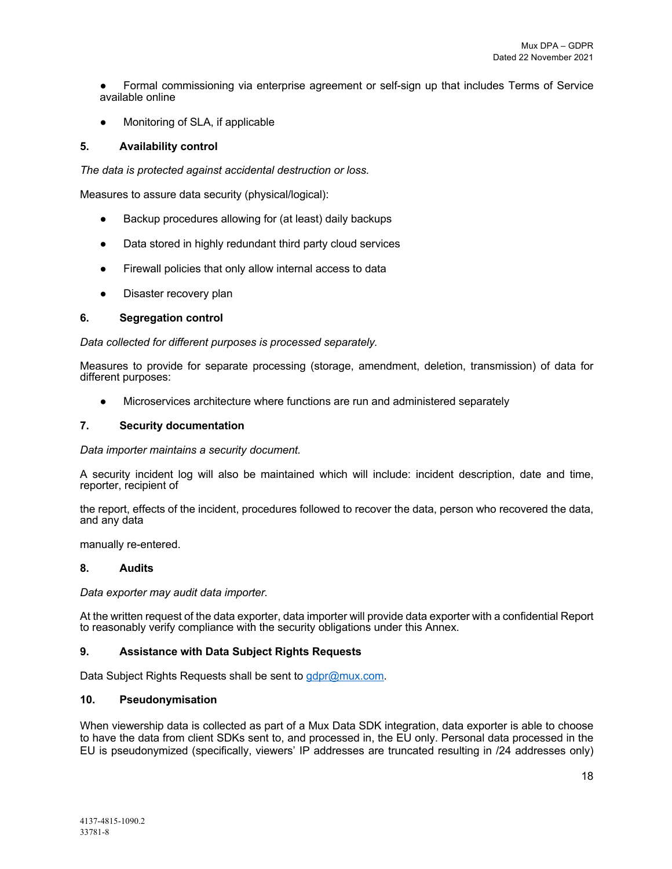● Formal commissioning via enterprise agreement or self-sign up that includes Terms of Service available online

● Monitoring of SLA, if applicable

#### **5. Availability control**

*The data is protected against accidental destruction or loss.*

Measures to assure data security (physical/logical):

- Backup procedures allowing for (at least) daily backups
- Data stored in highly redundant third party cloud services
- Firewall policies that only allow internal access to data
- Disaster recovery plan

#### **6. Segregation control**

*Data collected for different purposes is processed separately.*

Measures to provide for separate processing (storage, amendment, deletion, transmission) of data for different purposes:

• Microservices architecture where functions are run and administered separately

#### **7. Security documentation**

*Data importer maintains a security document.*

A security incident log will also be maintained which will include: incident description, date and time, reporter, recipient of

the report, effects of the incident, procedures followed to recover the data, person who recovered the data, and any data

manually re-entered.

#### **8. Audits**

*Data exporter may audit data importer.*

At the written request of the data exporter, data importer will provide data exporter with a confidential Report to reasonably verify compliance with the security obligations under this Annex.

#### **9. Assistance with Data Subject Rights Requests**

Data Subject Rights Requests shall be sent to gdpr@mux.com.

#### **10. Pseudonymisation**

When viewership data is collected as part of a Mux Data SDK integration, data exporter is able to choose to have the data from client SDKs sent to, and processed in, the EU only. Personal data processed in the EU is pseudonymized (specifically, viewers' IP addresses are truncated resulting in /24 addresses only)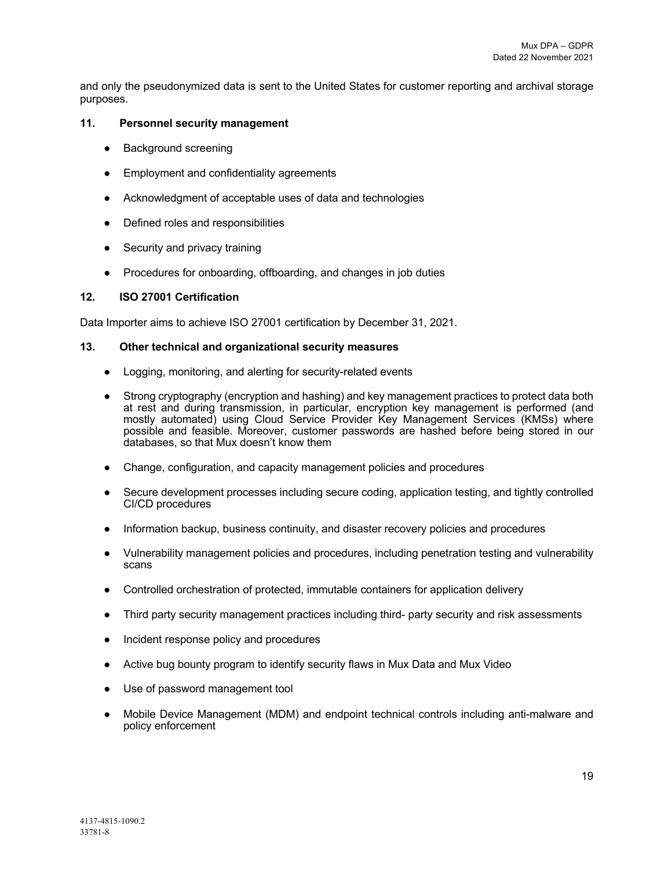and only the pseudonymized data is sent to the United States for customer reporting and archival storage purposes.

#### **11. Personnel security management**

- Background screening
- Employment and confidentiality agreements
- Acknowledgment of acceptable uses of data and technologies
- Defined roles and responsibilities
- Security and privacy training
- Procedures for onboarding, offboarding, and changes in job duties

#### **12. ISO 27001 Certification**

Data Importer aims to achieve ISO 27001 certification by December 31, 2021.

#### **13. Other technical and organizational security measures**

- Logging, monitoring, and alerting for security-related events
- Strong cryptography (encryption and hashing) and key management practices to protect data both at rest and during transmission, in particular, encryption key management is performed (and mostly automated) using Cloud Service Provider Key Management Services (KMSs) where possible and feasible. Moreover, customer passwords are hashed before being stored in our databases, so that Mux doesn't know them
- Change, configuration, and capacity management policies and procedures
- Secure development processes including secure coding, application testing, and tightly controlled CI/CD procedures
- Information backup, business continuity, and disaster recovery policies and procedures
- Vulnerability management policies and procedures, including penetration testing and vulnerability scans
- Controlled orchestration of protected, immutable containers for application delivery
- Third party security management practices including third- party security and risk assessments
- Incident response policy and procedures
- Active bug bounty program to identify security flaws in Mux Data and Mux Video
- Use of password management tool
- Mobile Device Management (MDM) and endpoint technical controls including anti-malware and policy enforcement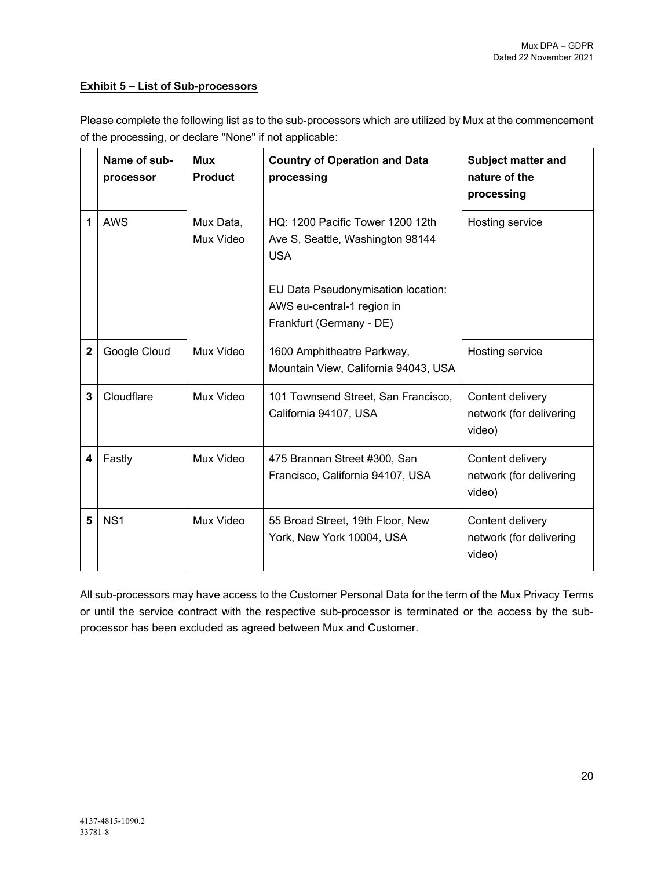## **Exhibit 5 – List of Sub-processors**

Please complete the following list as to the sub-processors which are utilized by Mux at the commencement of the processing, or declare "None" if not applicable:

|                | Name of sub-<br>processor | <b>Mux</b><br><b>Product</b> | <b>Country of Operation and Data</b><br>processing                                                                                                                                 | <b>Subject matter and</b><br>nature of the<br>processing |
|----------------|---------------------------|------------------------------|------------------------------------------------------------------------------------------------------------------------------------------------------------------------------------|----------------------------------------------------------|
| 1              | <b>AWS</b>                | Mux Data,<br>Mux Video       | HQ: 1200 Pacific Tower 1200 12th<br>Ave S, Seattle, Washington 98144<br><b>USA</b><br>EU Data Pseudonymisation location:<br>AWS eu-central-1 region in<br>Frankfurt (Germany - DE) | Hosting service                                          |
| $\overline{2}$ | Google Cloud              | Mux Video                    | 1600 Amphitheatre Parkway,<br>Mountain View, California 94043, USA                                                                                                                 | Hosting service                                          |
| $\overline{3}$ | Cloudflare                | Mux Video                    | 101 Townsend Street, San Francisco,<br>California 94107, USA                                                                                                                       | Content delivery<br>network (for delivering<br>video)    |
| 4              | Fastly                    | Mux Video                    | 475 Brannan Street #300, San<br>Francisco, California 94107, USA                                                                                                                   | Content delivery<br>network (for delivering<br>video)    |
| 5              | NS <sub>1</sub>           | Mux Video                    | 55 Broad Street, 19th Floor, New<br>York, New York 10004, USA                                                                                                                      | Content delivery<br>network (for delivering<br>video)    |

All sub-processors may have access to the Customer Personal Data for the term of the Mux Privacy Terms or until the service contract with the respective sub-processor is terminated or the access by the subprocessor has been excluded as agreed between Mux and Customer.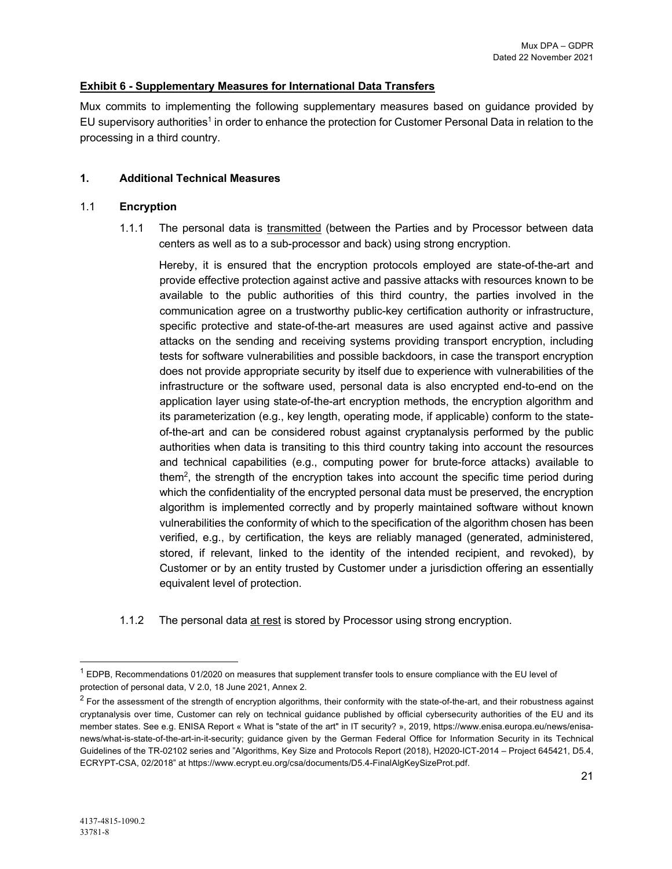#### **Exhibit 6 - Supplementary Measures for International Data Transfers**

Mux commits to implementing the following supplementary measures based on guidance provided by EU supervisory authorities<sup>1</sup> in order to enhance the protection for Customer Personal Data in relation to the processing in a third country.

#### **1. Additional Technical Measures**

#### 1.1 **Encryption**

1.1.1 The personal data is transmitted (between the Parties and by Processor between data centers as well as to a sub-processor and back) using strong encryption.

Hereby, it is ensured that the encryption protocols employed are state-of-the-art and provide effective protection against active and passive attacks with resources known to be available to the public authorities of this third country, the parties involved in the communication agree on a trustworthy public-key certification authority or infrastructure, specific protective and state-of-the-art measures are used against active and passive attacks on the sending and receiving systems providing transport encryption, including tests for software vulnerabilities and possible backdoors, in case the transport encryption does not provide appropriate security by itself due to experience with vulnerabilities of the infrastructure or the software used, personal data is also encrypted end-to-end on the application layer using state-of-the-art encryption methods, the encryption algorithm and its parameterization (e.g., key length, operating mode, if applicable) conform to the stateof-the-art and can be considered robust against cryptanalysis performed by the public authorities when data is transiting to this third country taking into account the resources and technical capabilities (e.g., computing power for brute-force attacks) available to them<sup>2</sup>, the strength of the encryption takes into account the specific time period during which the confidentiality of the encrypted personal data must be preserved, the encryption algorithm is implemented correctly and by properly maintained software without known vulnerabilities the conformity of which to the specification of the algorithm chosen has been verified, e.g., by certification, the keys are reliably managed (generated, administered, stored, if relevant, linked to the identity of the intended recipient, and revoked), by Customer or by an entity trusted by Customer under a jurisdiction offering an essentially equivalent level of protection.

1.1.2 The personal data at rest is stored by Processor using strong encryption.

 $1$  EDPB, Recommendations 01/2020 on measures that supplement transfer tools to ensure compliance with the EU level of protection of personal data, V 2.0, 18 June 2021, Annex 2.

 $<sup>2</sup>$  For the assessment of the strength of encryption algorithms, their conformity with the state-of-the-art, and their robustness against</sup> cryptanalysis over time, Customer can rely on technical guidance published by official cybersecurity authorities of the EU and its member states. See e.g. ENISA Report « What is "state of the art" in IT security? », 2019, https://www.enisa.europa.eu/news/enisanews/what-is-state-of-the-art-in-it-security; guidance given by the German Federal Office for Information Security in its Technical Guidelines of the TR-02102 series and "Algorithms, Key Size and Protocols Report (2018), H2020-ICT-2014 – Project 645421, D5.4, ECRYPT-CSA, 02/2018" at https://www.ecrypt.eu.org/csa/documents/D5.4-FinalAlgKeySizeProt.pdf.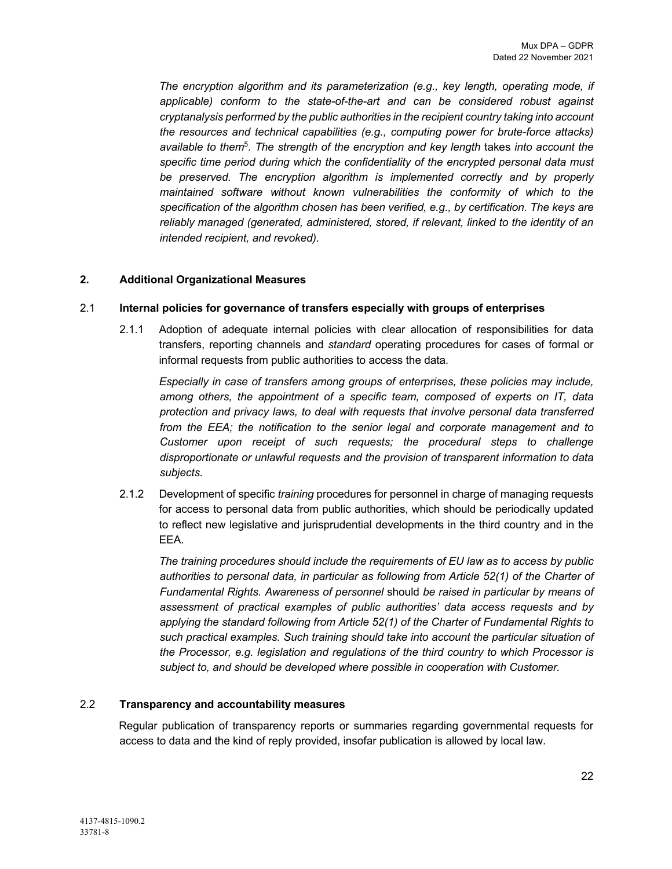*The encryption algorithm and its parameterization (e.g., key length, operating mode, if applicable) conform to the state-of-the-art and can be considered robust against cryptanalysis performed by the public authorities in the recipient country taking into account the resources and technical capabilities (e.g., computing power for brute-force attacks) available to them*<sup>5</sup>*. The strength of the encryption and key length* takes *into account the specific time period during which the confidentiality of the encrypted personal data must*  be preserved. The encryption algorithm is implemented correctly and by properly *maintained software without known vulnerabilities the conformity of which to the specification of the algorithm chosen has been verified, e.g., by certification. The keys are reliably managed (generated, administered, stored, if relevant, linked to the identity of an intended recipient, and revoked).*

## **2. Additional Organizational Measures**

#### 2.1 **Internal policies for governance of transfers especially with groups of enterprises**

2.1.1 Adoption of adequate internal policies with clear allocation of responsibilities for data transfers, reporting channels and *standard* operating procedures for cases of formal or informal requests from public authorities to access the data*.* 

*Especially in case of transfers among groups of enterprises, these policies may include, among others, the appointment of a specific team, composed of experts on IT, data protection and privacy laws, to deal with requests that involve personal data transferred from the EEA; the notification to the senior legal and corporate management and to Customer upon receipt of such requests; the procedural steps to challenge disproportionate or unlawful requests and the provision of transparent information to data subjects.*

2.1.2 Development of specific *training* procedures for personnel in charge of managing requests for access to personal data from public authorities, which should be periodically updated to reflect new legislative and jurisprudential developments in the third country and in the EEA.

*The training procedures should include the requirements of EU law as to access by public authorities to personal data, in particular as following from Article 52(1) of the Charter of Fundamental Rights. Awareness of personnel* should *be raised in particular by means of assessment of practical examples of public authorities' data access requests and by applying the standard following from Article 52(1) of the Charter of Fundamental Rights to such practical examples. Such training should take into account the particular situation of the Processor, e.g. legislation and regulations of the third country to which Processor is subject to, and should be developed where possible in cooperation with Customer.*

#### 2.2 **Transparency and accountability measures**

Regular publication of transparency reports or summaries regarding governmental requests for access to data and the kind of reply provided, insofar publication is allowed by local law.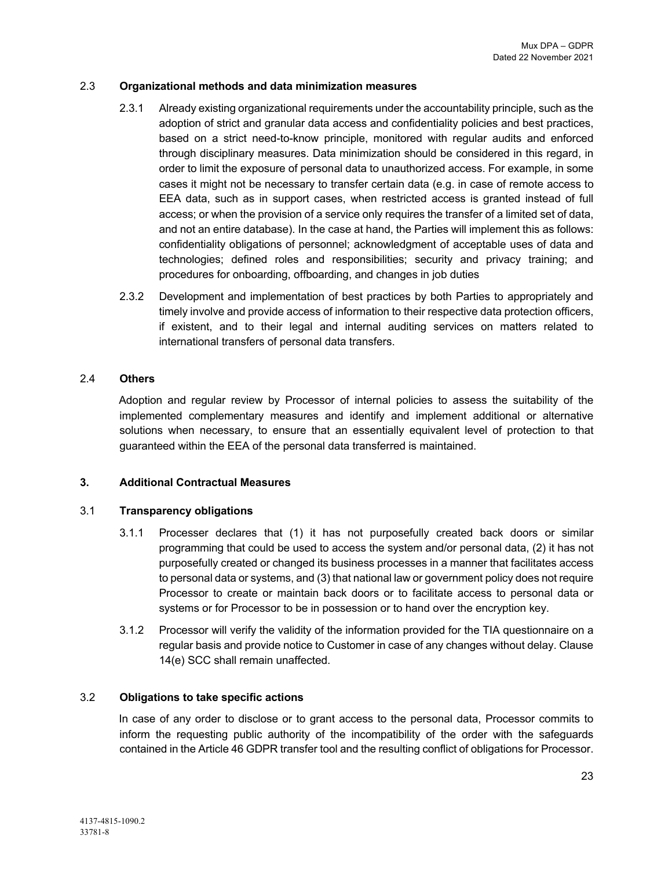#### 2.3 **Organizational methods and data minimization measures**

- 2.3.1 Already existing organizational requirements under the accountability principle, such as the adoption of strict and granular data access and confidentiality policies and best practices, based on a strict need-to-know principle, monitored with regular audits and enforced through disciplinary measures. Data minimization should be considered in this regard, in order to limit the exposure of personal data to unauthorized access. For example, in some cases it might not be necessary to transfer certain data (e.g. in case of remote access to EEA data, such as in support cases, when restricted access is granted instead of full access; or when the provision of a service only requires the transfer of a limited set of data, and not an entire database). In the case at hand, the Parties will implement this as follows: confidentiality obligations of personnel; acknowledgment of acceptable uses of data and technologies; defined roles and responsibilities; security and privacy training; and procedures for onboarding, offboarding, and changes in job duties
- 2.3.2 Development and implementation of best practices by both Parties to appropriately and timely involve and provide access of information to their respective data protection officers, if existent, and to their legal and internal auditing services on matters related to international transfers of personal data transfers.

#### 2.4 **Others**

Adoption and regular review by Processor of internal policies to assess the suitability of the implemented complementary measures and identify and implement additional or alternative solutions when necessary, to ensure that an essentially equivalent level of protection to that guaranteed within the EEA of the personal data transferred is maintained.

## **3. Additional Contractual Measures**

## 3.1 **Transparency obligations**

- 3.1.1 Processer declares that (1) it has not purposefully created back doors or similar programming that could be used to access the system and/or personal data, (2) it has not purposefully created or changed its business processes in a manner that facilitates access to personal data or systems, and (3) that national law or government policy does not require Processor to create or maintain back doors or to facilitate access to personal data or systems or for Processor to be in possession or to hand over the encryption key.
- 3.1.2 Processor will verify the validity of the information provided for the TIA questionnaire on a regular basis and provide notice to Customer in case of any changes without delay. Clause 14(e) SCC shall remain unaffected.

## 3.2 **Obligations to take specific actions**

In case of any order to disclose or to grant access to the personal data, Processor commits to inform the requesting public authority of the incompatibility of the order with the safeguards contained in the Article 46 GDPR transfer tool and the resulting conflict of obligations for Processor.